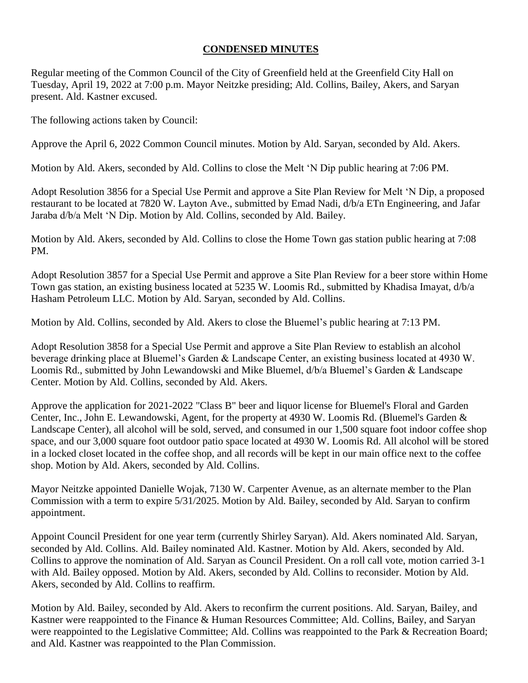## **CONDENSED MINUTES**

Regular meeting of the Common Council of the City of Greenfield held at the Greenfield City Hall on Tuesday, April 19, 2022 at 7:00 p.m. Mayor Neitzke presiding; Ald. Collins, Bailey, Akers, and Saryan present. Ald. Kastner excused.

The following actions taken by Council:

Approve the April 6, 2022 Common Council minutes. Motion by Ald. Saryan, seconded by Ald. Akers.

Motion by Ald. Akers, seconded by Ald. Collins to close the Melt 'N Dip public hearing at 7:06 PM.

Adopt Resolution 3856 for a Special Use Permit and approve a Site Plan Review for Melt 'N Dip, a proposed restaurant to be located at 7820 W. Layton Ave., submitted by Emad Nadi, d/b/a ETn Engineering, and Jafar Jaraba d/b/a Melt 'N Dip. Motion by Ald. Collins, seconded by Ald. Bailey.

Motion by Ald. Akers, seconded by Ald. Collins to close the Home Town gas station public hearing at 7:08 PM.

Adopt Resolution 3857 for a Special Use Permit and approve a Site Plan Review for a beer store within Home Town gas station, an existing business located at 5235 W. Loomis Rd., submitted by Khadisa Imayat, d/b/a Hasham Petroleum LLC. Motion by Ald. Saryan, seconded by Ald. Collins.

Motion by Ald. Collins, seconded by Ald. Akers to close the Bluemel's public hearing at 7:13 PM.

Adopt Resolution 3858 for a Special Use Permit and approve a Site Plan Review to establish an alcohol beverage drinking place at Bluemel's Garden & Landscape Center, an existing business located at 4930 W. Loomis Rd., submitted by John Lewandowski and Mike Bluemel, d/b/a Bluemel's Garden & Landscape Center. Motion by Ald. Collins, seconded by Ald. Akers.

Approve the application for 2021-2022 "Class B" beer and liquor license for Bluemel's Floral and Garden Center, Inc., John E. Lewandowski, Agent, for the property at 4930 W. Loomis Rd. (Bluemel's Garden & Landscape Center), all alcohol will be sold, served, and consumed in our 1,500 square foot indoor coffee shop space, and our 3,000 square foot outdoor patio space located at 4930 W. Loomis Rd. All alcohol will be stored in a locked closet located in the coffee shop, and all records will be kept in our main office next to the coffee shop. Motion by Ald. Akers, seconded by Ald. Collins.

Mayor Neitzke appointed Danielle Wojak, 7130 W. Carpenter Avenue, as an alternate member to the Plan Commission with a term to expire 5/31/2025. Motion by Ald. Bailey, seconded by Ald. Saryan to confirm appointment.

Appoint Council President for one year term (currently Shirley Saryan). Ald. Akers nominated Ald. Saryan, seconded by Ald. Collins. Ald. Bailey nominated Ald. Kastner. Motion by Ald. Akers, seconded by Ald. Collins to approve the nomination of Ald. Saryan as Council President. On a roll call vote, motion carried 3-1 with Ald. Bailey opposed. Motion by Ald. Akers, seconded by Ald. Collins to reconsider. Motion by Ald. Akers, seconded by Ald. Collins to reaffirm.

Motion by Ald. Bailey, seconded by Ald. Akers to reconfirm the current positions. Ald. Saryan, Bailey, and Kastner were reappointed to the Finance & Human Resources Committee; Ald. Collins, Bailey, and Saryan were reappointed to the Legislative Committee; Ald. Collins was reappointed to the Park & Recreation Board; and Ald. Kastner was reappointed to the Plan Commission.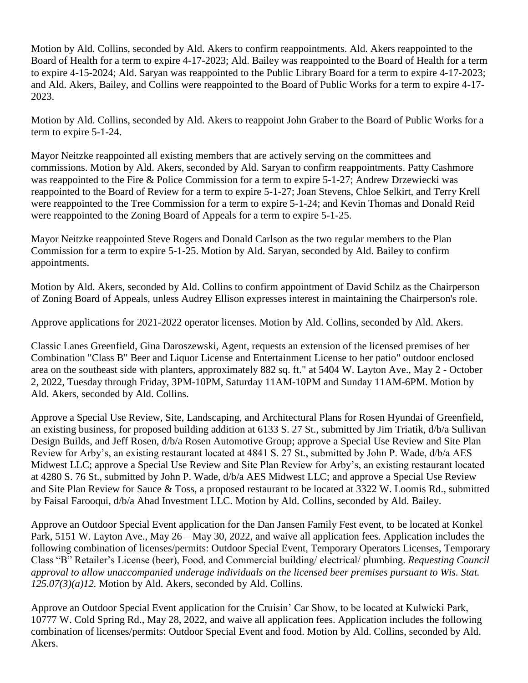Motion by Ald. Collins, seconded by Ald. Akers to confirm reappointments. Ald. Akers reappointed to the Board of Health for a term to expire 4-17-2023; Ald. Bailey was reappointed to the Board of Health for a term to expire 4-15-2024; Ald. Saryan was reappointed to the Public Library Board for a term to expire 4-17-2023; and Ald. Akers, Bailey, and Collins were reappointed to the Board of Public Works for a term to expire 4-17- 2023.

Motion by Ald. Collins, seconded by Ald. Akers to reappoint John Graber to the Board of Public Works for a term to expire 5-1-24.

Mayor Neitzke reappointed all existing members that are actively serving on the committees and commissions. Motion by Ald. Akers, seconded by Ald. Saryan to confirm reappointments. Patty Cashmore was reappointed to the Fire & Police Commission for a term to expire 5-1-27; Andrew Drzewiecki was reappointed to the Board of Review for a term to expire 5-1-27; Joan Stevens, Chloe Selkirt, and Terry Krell were reappointed to the Tree Commission for a term to expire 5-1-24; and Kevin Thomas and Donald Reid were reappointed to the Zoning Board of Appeals for a term to expire 5-1-25.

Mayor Neitzke reappointed Steve Rogers and Donald Carlson as the two regular members to the Plan Commission for a term to expire 5-1-25. Motion by Ald. Saryan, seconded by Ald. Bailey to confirm appointments.

Motion by Ald. Akers, seconded by Ald. Collins to confirm appointment of David Schilz as the Chairperson of Zoning Board of Appeals, unless Audrey Ellison expresses interest in maintaining the Chairperson's role.

Approve applications for 2021-2022 operator licenses. Motion by Ald. Collins, seconded by Ald. Akers.

Classic Lanes Greenfield, Gina Daroszewski, Agent, requests an extension of the licensed premises of her Combination "Class B" Beer and Liquor License and Entertainment License to her patio" outdoor enclosed area on the southeast side with planters, approximately 882 sq. ft." at 5404 W. Layton Ave., May 2 - October 2, 2022, Tuesday through Friday, 3PM-10PM, Saturday 11AM-10PM and Sunday 11AM-6PM. Motion by Ald. Akers, seconded by Ald. Collins.

Approve a Special Use Review, Site, Landscaping, and Architectural Plans for Rosen Hyundai of Greenfield, an existing business, for proposed building addition at 6133 S. 27 St., submitted by Jim Triatik, d/b/a Sullivan Design Builds, and Jeff Rosen, d/b/a Rosen Automotive Group; approve a Special Use Review and Site Plan Review for Arby's, an existing restaurant located at 4841 S. 27 St., submitted by John P. Wade, d/b/a AES Midwest LLC; approve a Special Use Review and Site Plan Review for Arby's, an existing restaurant located at 4280 S. 76 St., submitted by John P. Wade, d/b/a AES Midwest LLC; and approve a Special Use Review and Site Plan Review for Sauce & Toss, a proposed restaurant to be located at 3322 W. Loomis Rd., submitted by Faisal Farooqui, d/b/a Ahad Investment LLC. Motion by Ald. Collins, seconded by Ald. Bailey.

Approve an Outdoor Special Event application for the Dan Jansen Family Fest event, to be located at Konkel Park, 5151 W. Layton Ave., May 26 – May 30, 2022, and waive all application fees. Application includes the following combination of licenses/permits: Outdoor Special Event, Temporary Operators Licenses, Temporary Class "B" Retailer's License (beer), Food, and Commercial building/ electrical/ plumbing. *Requesting Council approval to allow unaccompanied underage individuals on the licensed beer premises pursuant to Wis. Stat. 125.07(3)(a)12.* Motion by Ald. Akers, seconded by Ald. Collins.

Approve an Outdoor Special Event application for the Cruisin' Car Show, to be located at Kulwicki Park, 10777 W. Cold Spring Rd., May 28, 2022, and waive all application fees. Application includes the following combination of licenses/permits: Outdoor Special Event and food. Motion by Ald. Collins, seconded by Ald. Akers.